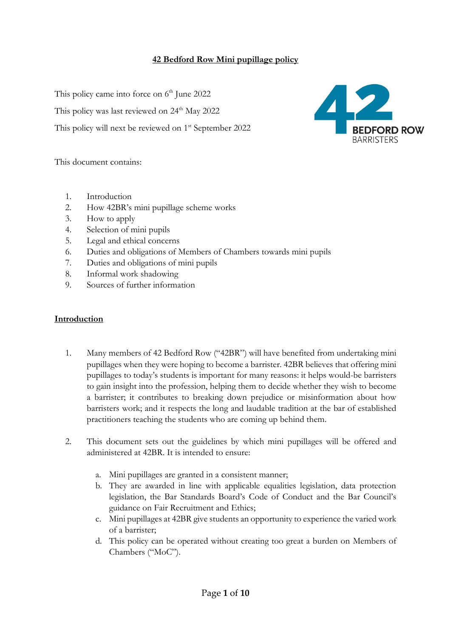## **42 Bedford Row Mini pupillage policy**

This policy came into force on 6<sup>th</sup> June 2022

This policy was last reviewed on 24<sup>th</sup> May 2022

This policy will next be reviewed on 1<sup>st</sup> September 2022



This document contains:

- 1. Introduction
- 2. How 42BR's mini pupillage scheme works
- 3. How to apply
- 4. Selection of mini pupils
- 5. Legal and ethical concerns
- 6. Duties and obligations of Members of Chambers towards mini pupils
- 7. Duties and obligations of mini pupils
- 8. Informal work shadowing
- 9. Sources of further information

#### **Introduction**

- 1. Many members of 42 Bedford Row ("42BR") will have benefited from undertaking mini pupillages when they were hoping to become a barrister. 42BR believes that offering mini pupillages to today's students is important for many reasons: it helps would-be barristers to gain insight into the profession, helping them to decide whether they wish to become a barrister; it contributes to breaking down prejudice or misinformation about how barristers work; and it respects the long and laudable tradition at the bar of established practitioners teaching the students who are coming up behind them.
- 2. This document sets out the guidelines by which mini pupillages will be offered and administered at 42BR. It is intended to ensure:
	- a. Mini pupillages are granted in a consistent manner;
	- b. They are awarded in line with applicable equalities legislation, data protection legislation, the Bar Standards Board's Code of Conduct and the Bar Council's guidance on Fair Recruitment and Ethics;
	- c. Mini pupillages at 42BR give students an opportunity to experience the varied work of a barrister;
	- d. This policy can be operated without creating too great a burden on Members of Chambers ("MoC").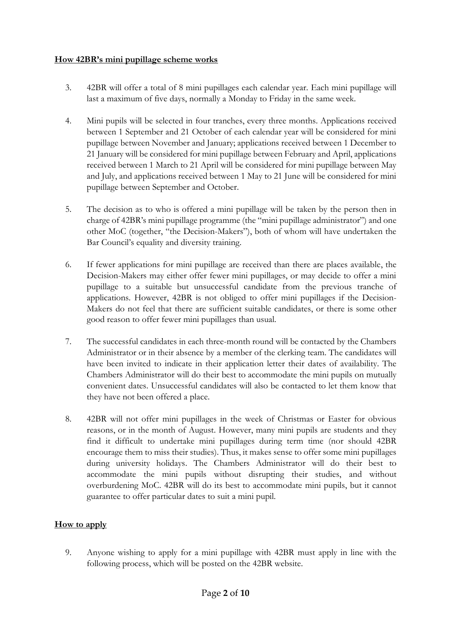### **How 42BR's mini pupillage scheme works**

- 3. 42BR will offer a total of 8 mini pupillages each calendar year. Each mini pupillage will last a maximum of five days, normally a Monday to Friday in the same week.
- 4. Mini pupils will be selected in four tranches, every three months. Applications received between 1 September and 21 October of each calendar year will be considered for mini pupillage between November and January; applications received between 1 December to 21 January will be considered for mini pupillage between February and April, applications received between 1 March to 21 April will be considered for mini pupillage between May and July, and applications received between 1 May to 21 June will be considered for mini pupillage between September and October.
- 5. The decision as to who is offered a mini pupillage will be taken by the person then in charge of 42BR's mini pupillage programme (the "mini pupillage administrator") and one other MoC (together, "the Decision-Makers"), both of whom will have undertaken the Bar Council's equality and diversity training.
- 6. If fewer applications for mini pupillage are received than there are places available, the Decision-Makers may either offer fewer mini pupillages, or may decide to offer a mini pupillage to a suitable but unsuccessful candidate from the previous tranche of applications. However, 42BR is not obliged to offer mini pupillages if the Decision-Makers do not feel that there are sufficient suitable candidates, or there is some other good reason to offer fewer mini pupillages than usual.
- 7. The successful candidates in each three-month round will be contacted by the Chambers Administrator or in their absence by a member of the clerking team. The candidates will have been invited to indicate in their application letter their dates of availability. The Chambers Administrator will do their best to accommodate the mini pupils on mutually convenient dates. Unsuccessful candidates will also be contacted to let them know that they have not been offered a place.
- 8. 42BR will not offer mini pupillages in the week of Christmas or Easter for obvious reasons, or in the month of August. However, many mini pupils are students and they find it difficult to undertake mini pupillages during term time (nor should 42BR encourage them to miss their studies). Thus, it makes sense to offer some mini pupillages during university holidays. The Chambers Administrator will do their best to accommodate the mini pupils without disrupting their studies, and without overburdening MoC. 42BR will do its best to accommodate mini pupils, but it cannot guarantee to offer particular dates to suit a mini pupil.

# **How to apply**

9. Anyone wishing to apply for a mini pupillage with 42BR must apply in line with the following process, which will be posted on the 42BR website.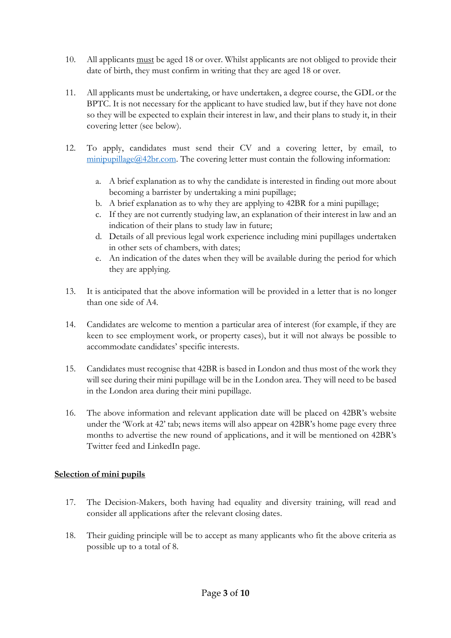- 10. All applicants must be aged 18 or over. Whilst applicants are not obliged to provide their date of birth, they must confirm in writing that they are aged 18 or over.
- 11. All applicants must be undertaking, or have undertaken, a degree course, the GDL or the BPTC. It is not necessary for the applicant to have studied law, but if they have not done so they will be expected to explain their interest in law, and their plans to study it, in their covering letter (see below).
- 12. To apply, candidates must send their CV and a covering letter, by email, to  $minipupillage@42br.com.$  The covering letter must contain the following information:
	- a. A brief explanation as to why the candidate is interested in finding out more about becoming a barrister by undertaking a mini pupillage;
	- b. A brief explanation as to why they are applying to 42BR for a mini pupillage;
	- c. If they are not currently studying law, an explanation of their interest in law and an indication of their plans to study law in future;
	- d. Details of all previous legal work experience including mini pupillages undertaken in other sets of chambers, with dates;
	- e. An indication of the dates when they will be available during the period for which they are applying.
- 13. It is anticipated that the above information will be provided in a letter that is no longer than one side of A4.
- 14. Candidates are welcome to mention a particular area of interest (for example, if they are keen to see employment work, or property cases), but it will not always be possible to accommodate candidates' specific interests.
- 15. Candidates must recognise that 42BR is based in London and thus most of the work they will see during their mini pupillage will be in the London area. They will need to be based in the London area during their mini pupillage.
- 16. The above information and relevant application date will be placed on 42BR's website under the 'Work at 42' tab; news items will also appear on 42BR's home page every three months to advertise the new round of applications, and it will be mentioned on 42BR's Twitter feed and LinkedIn page.

## **Selection of mini pupils**

- 17. The Decision-Makers, both having had equality and diversity training, will read and consider all applications after the relevant closing dates.
- 18. Their guiding principle will be to accept as many applicants who fit the above criteria as possible up to a total of 8.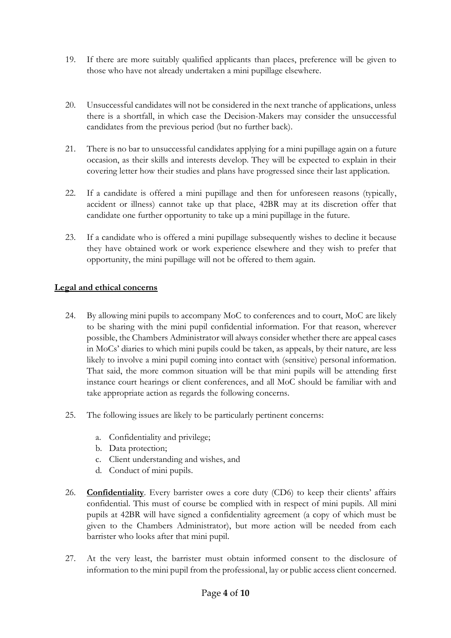- 19. If there are more suitably qualified applicants than places, preference will be given to those who have not already undertaken a mini pupillage elsewhere.
- 20. Unsuccessful candidates will not be considered in the next tranche of applications, unless there is a shortfall, in which case the Decision-Makers may consider the unsuccessful candidates from the previous period (but no further back).
- 21. There is no bar to unsuccessful candidates applying for a mini pupillage again on a future occasion, as their skills and interests develop. They will be expected to explain in their covering letter how their studies and plans have progressed since their last application.
- 22. If a candidate is offered a mini pupillage and then for unforeseen reasons (typically, accident or illness) cannot take up that place, 42BR may at its discretion offer that candidate one further opportunity to take up a mini pupillage in the future.
- 23. If a candidate who is offered a mini pupillage subsequently wishes to decline it because they have obtained work or work experience elsewhere and they wish to prefer that opportunity, the mini pupillage will not be offered to them again.

### **Legal and ethical concerns**

- 24. By allowing mini pupils to accompany MoC to conferences and to court, MoC are likely to be sharing with the mini pupil confidential information. For that reason, wherever possible, the Chambers Administrator will always consider whether there are appeal cases in MoCs' diaries to which mini pupils could be taken, as appeals, by their nature, are less likely to involve a mini pupil coming into contact with (sensitive) personal information. That said, the more common situation will be that mini pupils will be attending first instance court hearings or client conferences, and all MoC should be familiar with and take appropriate action as regards the following concerns.
- 25. The following issues are likely to be particularly pertinent concerns:
	- a. Confidentiality and privilege;
	- b. Data protection;
	- c. Client understanding and wishes, and
	- d. Conduct of mini pupils.
- 26. **Confidentiality**. Every barrister owes a core duty (CD6) to keep their clients' affairs confidential. This must of course be complied with in respect of mini pupils. All mini pupils at 42BR will have signed a confidentiality agreement (a copy of which must be given to the Chambers Administrator), but more action will be needed from each barrister who looks after that mini pupil.
- 27. At the very least, the barrister must obtain informed consent to the disclosure of information to the mini pupil from the professional, lay or public access client concerned.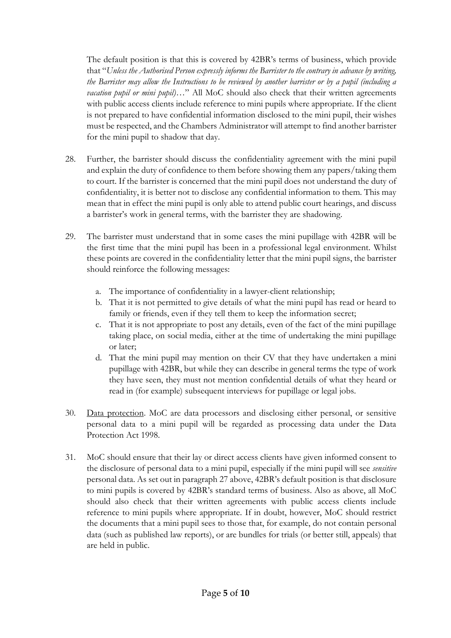The default position is that this is covered by 42BR's terms of business, which provide that "*Unless the Authorised Person expressly informs the Barrister to the contrary in advance by writing, the Barrister may allow the Instructions to be reviewed by another barrister or by a pupil (including a vacation pupil or mini pupil)*…" All MoC should also check that their written agreements with public access clients include reference to mini pupils where appropriate. If the client is not prepared to have confidential information disclosed to the mini pupil, their wishes must be respected, and the Chambers Administrator will attempt to find another barrister for the mini pupil to shadow that day.

- 28. Further, the barrister should discuss the confidentiality agreement with the mini pupil and explain the duty of confidence to them before showing them any papers/taking them to court. If the barrister is concerned that the mini pupil does not understand the duty of confidentiality, it is better not to disclose any confidential information to them. This may mean that in effect the mini pupil is only able to attend public court hearings, and discuss a barrister's work in general terms, with the barrister they are shadowing.
- 29. The barrister must understand that in some cases the mini pupillage with 42BR will be the first time that the mini pupil has been in a professional legal environment. Whilst these points are covered in the confidentiality letter that the mini pupil signs, the barrister should reinforce the following messages:
	- a. The importance of confidentiality in a lawyer-client relationship;
	- b. That it is not permitted to give details of what the mini pupil has read or heard to family or friends, even if they tell them to keep the information secret;
	- c. That it is not appropriate to post any details, even of the fact of the mini pupillage taking place, on social media, either at the time of undertaking the mini pupillage or later;
	- d. That the mini pupil may mention on their CV that they have undertaken a mini pupillage with 42BR, but while they can describe in general terms the type of work they have seen, they must not mention confidential details of what they heard or read in (for example) subsequent interviews for pupillage or legal jobs.
- 30. Data protection. MoC are data processors and disclosing either personal, or sensitive personal data to a mini pupil will be regarded as processing data under the Data Protection Act 1998.
- 31. MoC should ensure that their lay or direct access clients have given informed consent to the disclosure of personal data to a mini pupil, especially if the mini pupil will see *sensitive* personal data. As set out in paragraph 27 above, 42BR's default position is that disclosure to mini pupils is covered by 42BR's standard terms of business. Also as above, all MoC should also check that their written agreements with public access clients include reference to mini pupils where appropriate. If in doubt, however, MoC should restrict the documents that a mini pupil sees to those that, for example, do not contain personal data (such as published law reports), or are bundles for trials (or better still, appeals) that are held in public.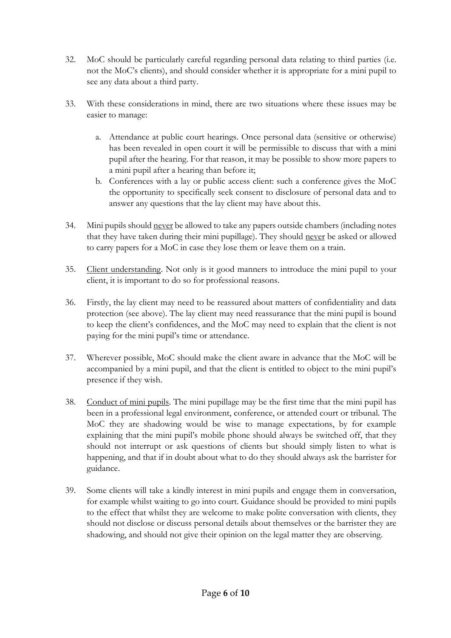- 32. MoC should be particularly careful regarding personal data relating to third parties (i.e. not the MoC's clients), and should consider whether it is appropriate for a mini pupil to see any data about a third party.
- 33. With these considerations in mind, there are two situations where these issues may be easier to manage:
	- a. Attendance at public court hearings. Once personal data (sensitive or otherwise) has been revealed in open court it will be permissible to discuss that with a mini pupil after the hearing. For that reason, it may be possible to show more papers to a mini pupil after a hearing than before it;
	- b. Conferences with a lay or public access client: such a conference gives the MoC the opportunity to specifically seek consent to disclosure of personal data and to answer any questions that the lay client may have about this.
- 34. Mini pupils should never be allowed to take any papers outside chambers (including notes that they have taken during their mini pupillage). They should never be asked or allowed to carry papers for a MoC in case they lose them or leave them on a train.
- 35. Client understanding. Not only is it good manners to introduce the mini pupil to your client, it is important to do so for professional reasons.
- 36. Firstly, the lay client may need to be reassured about matters of confidentiality and data protection (see above). The lay client may need reassurance that the mini pupil is bound to keep the client's confidences, and the MoC may need to explain that the client is not paying for the mini pupil's time or attendance.
- 37. Wherever possible, MoC should make the client aware in advance that the MoC will be accompanied by a mini pupil, and that the client is entitled to object to the mini pupil's presence if they wish.
- 38. Conduct of mini pupils. The mini pupillage may be the first time that the mini pupil has been in a professional legal environment, conference, or attended court or tribunal. The MoC they are shadowing would be wise to manage expectations, by for example explaining that the mini pupil's mobile phone should always be switched off, that they should not interrupt or ask questions of clients but should simply listen to what is happening, and that if in doubt about what to do they should always ask the barrister for guidance.
- 39. Some clients will take a kindly interest in mini pupils and engage them in conversation, for example whilst waiting to go into court. Guidance should be provided to mini pupils to the effect that whilst they are welcome to make polite conversation with clients, they should not disclose or discuss personal details about themselves or the barrister they are shadowing, and should not give their opinion on the legal matter they are observing.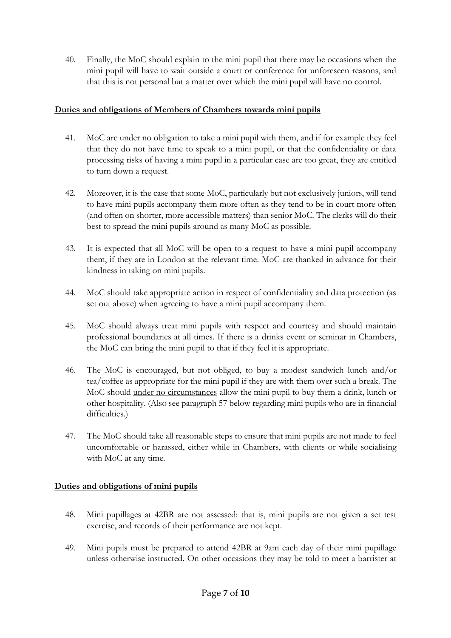40. Finally, the MoC should explain to the mini pupil that there may be occasions when the mini pupil will have to wait outside a court or conference for unforeseen reasons, and that this is not personal but a matter over which the mini pupil will have no control.

### **Duties and obligations of Members of Chambers towards mini pupils**

- 41. MoC are under no obligation to take a mini pupil with them, and if for example they feel that they do not have time to speak to a mini pupil, or that the confidentiality or data processing risks of having a mini pupil in a particular case are too great, they are entitled to turn down a request.
- 42. Moreover, it is the case that some MoC, particularly but not exclusively juniors, will tend to have mini pupils accompany them more often as they tend to be in court more often (and often on shorter, more accessible matters) than senior MoC. The clerks will do their best to spread the mini pupils around as many MoC as possible.
- 43. It is expected that all MoC will be open to a request to have a mini pupil accompany them, if they are in London at the relevant time. MoC are thanked in advance for their kindness in taking on mini pupils.
- 44. MoC should take appropriate action in respect of confidentiality and data protection (as set out above) when agreeing to have a mini pupil accompany them.
- 45. MoC should always treat mini pupils with respect and courtesy and should maintain professional boundaries at all times. If there is a drinks event or seminar in Chambers, the MoC can bring the mini pupil to that if they feel it is appropriate.
- 46. The MoC is encouraged, but not obliged, to buy a modest sandwich lunch and/or tea/coffee as appropriate for the mini pupil if they are with them over such a break. The MoC should under no circumstances allow the mini pupil to buy them a drink, lunch or other hospitality. (Also see paragraph 57 below regarding mini pupils who are in financial difficulties.)
- 47. The MoC should take all reasonable steps to ensure that mini pupils are not made to feel uncomfortable or harassed, either while in Chambers, with clients or while socialising with MoC at any time.

## **Duties and obligations of mini pupils**

- 48. Mini pupillages at 42BR are not assessed: that is, mini pupils are not given a set test exercise, and records of their performance are not kept.
- 49. Mini pupils must be prepared to attend 42BR at 9am each day of their mini pupillage unless otherwise instructed. On other occasions they may be told to meet a barrister at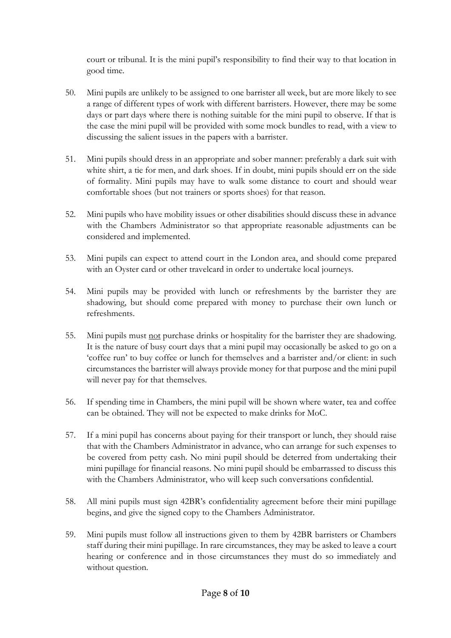court or tribunal. It is the mini pupil's responsibility to find their way to that location in good time.

- 50. Mini pupils are unlikely to be assigned to one barrister all week, but are more likely to see a range of different types of work with different barristers. However, there may be some days or part days where there is nothing suitable for the mini pupil to observe. If that is the case the mini pupil will be provided with some mock bundles to read, with a view to discussing the salient issues in the papers with a barrister.
- 51. Mini pupils should dress in an appropriate and sober manner: preferably a dark suit with white shirt, a tie for men, and dark shoes. If in doubt, mini pupils should err on the side of formality. Mini pupils may have to walk some distance to court and should wear comfortable shoes (but not trainers or sports shoes) for that reason.
- 52. Mini pupils who have mobility issues or other disabilities should discuss these in advance with the Chambers Administrator so that appropriate reasonable adjustments can be considered and implemented.
- 53. Mini pupils can expect to attend court in the London area, and should come prepared with an Oyster card or other travelcard in order to undertake local journeys.
- 54. Mini pupils may be provided with lunch or refreshments by the barrister they are shadowing, but should come prepared with money to purchase their own lunch or refreshments.
- 55. Mini pupils must not purchase drinks or hospitality for the barrister they are shadowing. It is the nature of busy court days that a mini pupil may occasionally be asked to go on a 'coffee run' to buy coffee or lunch for themselves and a barrister and/or client: in such circumstances the barrister will always provide money for that purpose and the mini pupil will never pay for that themselves.
- 56. If spending time in Chambers, the mini pupil will be shown where water, tea and coffee can be obtained. They will not be expected to make drinks for MoC.
- 57. If a mini pupil has concerns about paying for their transport or lunch, they should raise that with the Chambers Administrator in advance, who can arrange for such expenses to be covered from petty cash. No mini pupil should be deterred from undertaking their mini pupillage for financial reasons. No mini pupil should be embarrassed to discuss this with the Chambers Administrator, who will keep such conversations confidential.
- 58. All mini pupils must sign 42BR's confidentiality agreement before their mini pupillage begins, and give the signed copy to the Chambers Administrator.
- 59. Mini pupils must follow all instructions given to them by 42BR barristers or Chambers staff during their mini pupillage. In rare circumstances, they may be asked to leave a court hearing or conference and in those circumstances they must do so immediately and without question.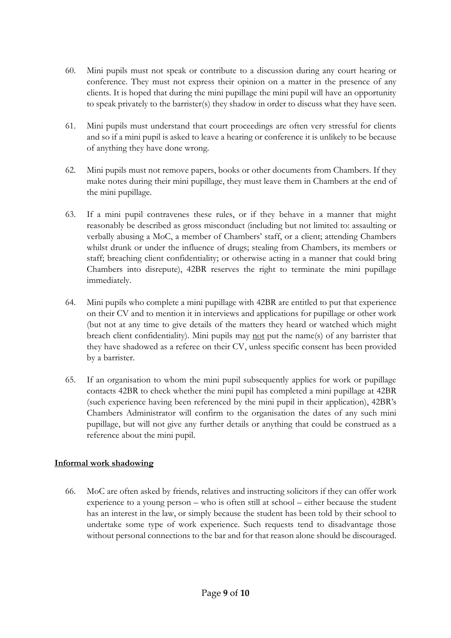- 60. Mini pupils must not speak or contribute to a discussion during any court hearing or conference. They must not express their opinion on a matter in the presence of any clients. It is hoped that during the mini pupillage the mini pupil will have an opportunity to speak privately to the barrister(s) they shadow in order to discuss what they have seen.
- 61. Mini pupils must understand that court proceedings are often very stressful for clients and so if a mini pupil is asked to leave a hearing or conference it is unlikely to be because of anything they have done wrong.
- 62. Mini pupils must not remove papers, books or other documents from Chambers. If they make notes during their mini pupillage, they must leave them in Chambers at the end of the mini pupillage.
- 63. If a mini pupil contravenes these rules, or if they behave in a manner that might reasonably be described as gross misconduct (including but not limited to: assaulting or verbally abusing a MoC, a member of Chambers' staff, or a client; attending Chambers whilst drunk or under the influence of drugs; stealing from Chambers, its members or staff; breaching client confidentiality; or otherwise acting in a manner that could bring Chambers into disrepute), 42BR reserves the right to terminate the mini pupillage immediately.
- 64. Mini pupils who complete a mini pupillage with 42BR are entitled to put that experience on their CV and to mention it in interviews and applications for pupillage or other work (but not at any time to give details of the matters they heard or watched which might breach client confidentiality). Mini pupils may not put the name(s) of any barrister that they have shadowed as a referee on their CV, unless specific consent has been provided by a barrister.
- 65. If an organisation to whom the mini pupil subsequently applies for work or pupillage contacts 42BR to check whether the mini pupil has completed a mini pupillage at 42BR (such experience having been referenced by the mini pupil in their application), 42BR's Chambers Administrator will confirm to the organisation the dates of any such mini pupillage, but will not give any further details or anything that could be construed as a reference about the mini pupil.

## **Informal work shadowing**

66. MoC are often asked by friends, relatives and instructing solicitors if they can offer work experience to a young person – who is often still at school – either because the student has an interest in the law, or simply because the student has been told by their school to undertake some type of work experience. Such requests tend to disadvantage those without personal connections to the bar and for that reason alone should be discouraged.